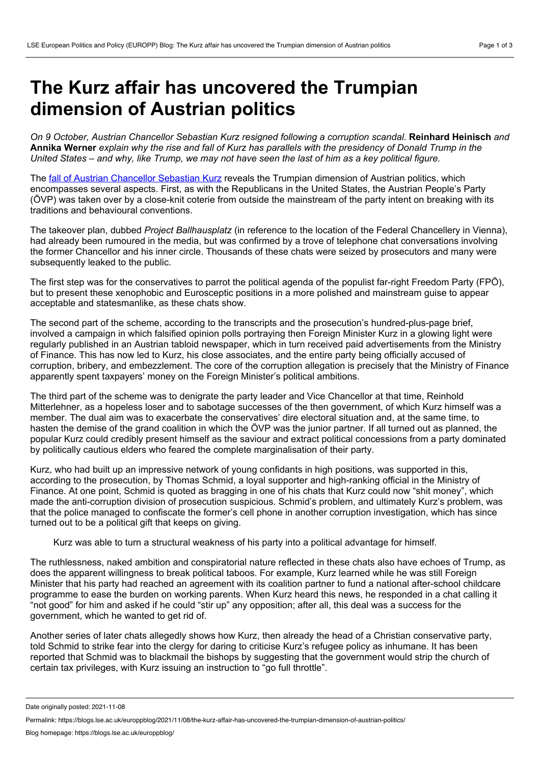## **The Kurz affair has uncovered the Trumpian dimension of Austrian politics**

*On 9 October, Austrian Chancellor Sebastian Kurz resigned following a corruption scandal.* **Reinhard Heinisch** *and* Annika Werner explain why the rise and fall of Kurz has parallels with the presidency of Donald Trump in the United States – and why, like Trump, we may not have seen the last of him as a key political figure.

The fall of Austrian [Chancellor](https://www.bbc.co.uk/news/world-europe-58856796) Sebastian Kurz reveals the Trumpian dimension of Austrian politics, which encompasses several aspects. First, as with the Republicans in the United States, the Austrian People's Party (ÖVP) was taken over by a close-knit coterie from outside the mainstream of the party intent on breaking with its traditions and behavioural conventions.

The takeover plan, dubbed *Project Ballhausplatz* (in reference to the location of the Federal Chancellery in Vienna), had already been rumoured in the media, but was confirmed by a trove of telephone chat conversations involving the former Chancellor and his inner circle. Thousands of these chats were seized by prosecutors and many were subsequently leaked to the public.

The first step was for the conservatives to parrot the political agenda of the populist far-right Freedom Party (FPÖ), but to present these xenophobic and Eurosceptic positions in a more polished and mainstream guise to appear acceptable and statesmanlike, as these chats show.

The second part of the scheme, according to the transcripts and the prosecution's hundred-plus-page brief, involved a campaign in which falsified opinion polls portraying then Foreign Minister Kurz in a glowing light were regularly published in an Austrian tabloid newspaper, which in turn received paid advertisements from the Ministry of Finance. This has now led to Kurz, his close associates, and the entire party being officially accused of corruption, bribery, and embezzlement. The core of the corruption allegation is precisely that the Ministry of Finance apparently spent taxpayers' money on the Foreign Minister's political ambitions.

The third part of the scheme was to denigrate the party leader and Vice Chancellor at that time, Reinhold Mitterlehner, as a hopeless loser and to sabotage successes of the then government, of which Kurz himself was a member. The dual aim was to exacerbate the conservatives' dire electoral situation and, at the same time, to hasten the demise of the grand coalition in which the ÖVP was the junior partner. If all turned out as planned, the popular Kurz could credibly present himself as the saviour and extract political concessions from aparty dominated by politically cautious elders who feared the complete marginalisation of their party.

Kurz, who had built up an impressive network of young confidants in high positions, was supported in this, according to the prosecution, by Thomas Schmid, a loyal supporter and high-ranking official in the Ministry of Finance. At one point, Schmid is quoted as bragging in one of his chats that Kurz could now "shit money", which made the anti-corruption division of prosecution suspicious. Schmid's problem, and ultimately Kurz's problem, was that the police managed to confiscate the former's cell phone in another corruption investigation, which has since turned out to be a political gift that keeps on giving.

Kurz was able to turn a structural weakness of his party into a political advantage for himself.

The ruthlessness, naked ambition and conspiratorial nature reflected in these chats also have echoes of Trump, as does the apparent willingness to break political taboos. For example, Kurz learned while he was still Foreign Minister that his party had reached an agreement with its coalition partner to fund a national after-school childcare programme to ease the burden on working parents. When Kurz heard this news, he responded in a chat calling it "not good" for him and asked if he could "stir up" any opposition; after all, this deal was a success for the government, which he wanted to get rid of.

Another series of later chats allegedly shows how Kurz, then already the head of a Christian conservative party, told Schmid to strike fear into the clergy for daring to criticise Kurz's refugee policy as inhumane. It has been reported that Schmid was to blackmail the bishops by suggesting that the government would strip the church of certain tax privileges, with Kurz issuing an instruction to "go full throttle".

Date originally posted: 2021-11-08

Permalink: https://blogs.lse.ac.uk/europpblog/2021/11/08/the-kurz-affair-has-uncovered-the-trumpian-dimension-of-austrian-politics/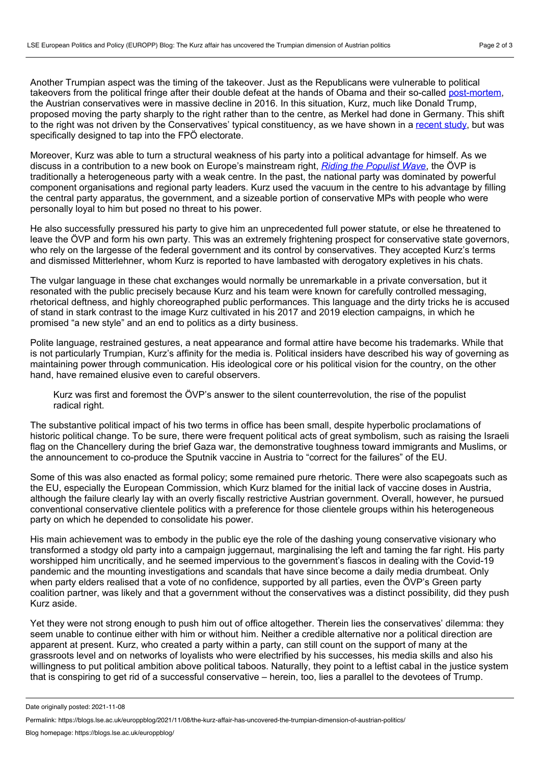Another Trumpian aspect was the timing of the takeover. Just as the Republicans were vulnerable to political takeovers from the political fringe after their double defeat at the hands of Obama and their so-called [post-mortem](https://online.wsj.com/public/resources/documents/RNCreport03182013.pdf), the Austrian conservatives were in massive decline in 2016. In this situation, Kurz, much like Donald Trump, proposed moving the party sharply to the right rather than to the centre, as Merkel had done in Germany. This shift to the right was not driven by the Conservatives' typical constituency, as we have shown in a [recent](https://www.tandfonline.com/doi/full/10.1080/23745118.2019.1632577) study, but was specifically designed to tap into the FPÖ electorate.

Moreover, Kurz was able to turn a structural weakness of his party into a political advantage for himself. As we discuss in a contribution to a new book on Europe's mainstream right, *Riding the [Populist](http://services.cambridge.org/us/academic/subjects/politics-international-relations/european-government-politics-and-policy/riding-populist-wave-europes-mainstream-right-crisis?format=HB&isbn=9781316518762) Wave*, the ÖVP is traditionally a heterogeneous party with a weak centre. In the past, the national party was dominated by powerful component organisations and regional party leaders. Kurz used the vacuum in the centre to his advantage by filling the central party apparatus, the government, and a sizeable portion of conservative MPs with people who were personally loyal to him but posed no threat to his power.

He also successfully pressured his party to give him an unprecedented full power statute, or else he threatened to leave the ÖVP and form his own party. This was an extremely frightening prospect for conservative state governors, who rely on the largesse of the federal government and its control by conservatives. They accepted Kurz's terms and dismissed Mitterlehner, whom Kurz is reported to have lambasted with derogatory expletives in his chats.

The vulgar language in these chat exchanges would normally be unremarkable in a private conversation, but it resonated with the public precisely because Kurz and his team were known for carefully controlled messaging, rhetorical deftness, and highly choreographed public performances. This language and the dirty tricks he is accused of stand in stark contrast to the image Kurz cultivated in his 2017 and 2019 election campaigns, in which he promised "a new style" and an end to politics as a dirty business.

Polite language, restrained gestures, a neat appearance and formal attire have become his trademarks. While that is not particularly Trumpian, Kurz's affinity for the media is. Political insiders have described his way of governing as maintaining power through communication. His ideological core or his political vision for the country, on the other hand, have remained elusive even to careful observers.

Kurz was first and foremost the ÖVP's answer to the silent counterrevolution, the rise of the populist radical right.

The substantive political impact of his two terms in office has been small, despite hyperbolic proclamations of historic political change. To be sure, there were frequent political acts of great symbolism, such as raising the Israeli flag on the Chancellery during the brief Gaza war, the demonstrative toughness toward immigrants and Muslims, or the announcement to co-produce the Sputnik vaccine in Austria to "correct for the failures" of the EU.

Some of this was also enacted as formal policy; some remained pure rhetoric. There were also scapegoats such as the EU, especially the European Commission, which Kurz blamed for the initial lack of vaccine doses in Austria, although the failure clearly lay with an overly fiscally restrictive Austrian government. Overall, however, he pursued conventional conservative clientele politics with a preference for those clientele groups within his heterogeneous party on which he depended to consolidate his power.

His main achievement was to embody in the public eye the role of the dashing young conservative visionary who transformed a stodgy old party into a campaign juggernaut, marginalising the left and taming the far right. His party worshipped him uncritically, and he seemed impervious to the government's fiascos in dealing with the Covid-19 pandemic and the mounting investigations and scandals that have since become a daily media drumbeat. Only when party elders realised that a vote of no confidence, supported by all parties, even the ÖVP's Green party coalition partner, was likely and that a government without the conservatives was a distinct possibility, did they push Kurz aside.

Yet they were not strong enough to push him out of office altogether. Therein lies the conservatives' dilemma: they seem unable to continue either with him or without him. Neither a credible alternative nor a political direction are apparent at present. Kurz, who created a party within a party, can still count on the support of many at the grassroots level and on networks of loyalists who were electrified by his successes, his media skills and also his willingness to put political ambition above political taboos. Naturally, they point to a leftist cabal in the justice system that is conspiring to get rid of a successful conservative – herein, too, lies a parallel to the devotees of Trump.

Date originally posted: 2021-11-08

Permalink: https://blogs.lse.ac.uk/europpblog/2021/11/08/the-kurz-affair-has-uncovered-the-trumpian-dimension-of-austrian-politics/